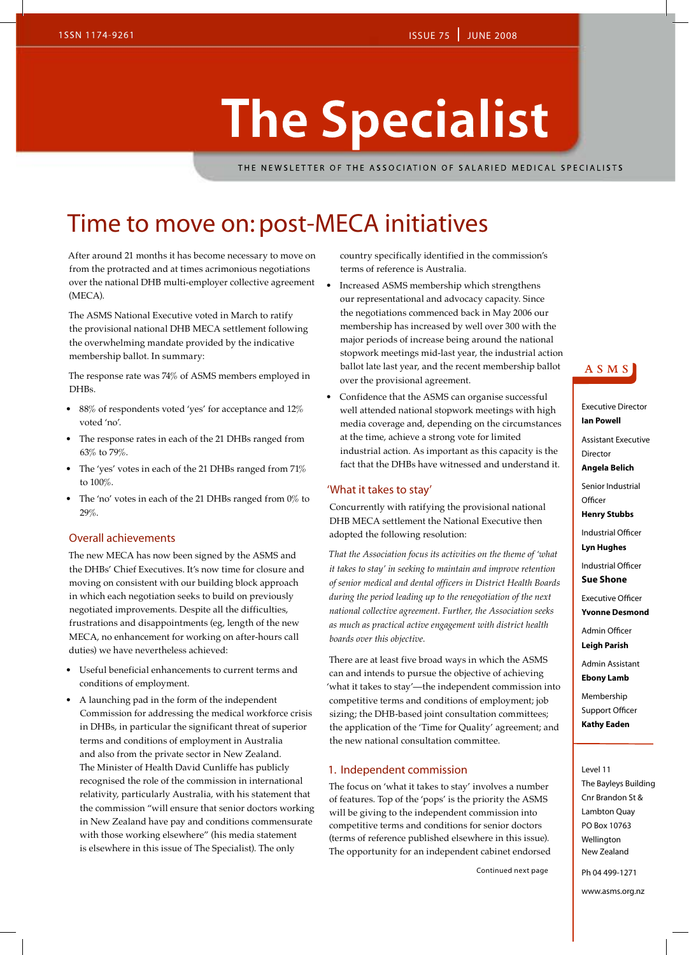# **The Specialist**

THE NEWSLETTER OF THE ASSOCIATION OF SALARIED MEDICAL SPECIALISTS

### Time to move on: post-MECA initiatives

After around 21 months it has become necessary to move on from the protracted and at times acrimonious negotiations over the national DHB multi-employer collective agreement (MECA).

The ASMS National Executive voted in March to ratify the provisional national DHB MECA settlement following the overwhelming mandate provided by the indicative membership ballot. In summary:

The response rate was 74% of ASMS members employed in DHB<sub>s</sub>.

- 88% of respondents voted 'yes' for acceptance and 12% voted 'no'.
- The response rates in each of the 21 DHBs ranged from 63% to 79%.
- The 'yes' votes in each of the 21 DHBs ranged from  $71\%$ to 100%.
- The 'no' votes in each of the 21 DHBs ranged from  $0\%$  to 29%.

### Overall achievements

The new MECA has now been signed by the ASMS and the DHBs' Chief Executives. It's now time for closure and moving on consistent with our building block approach in which each negotiation seeks to build on previously negotiated improvements. Despite all the difficulties, frustrations and disappointments (eg, length of the new MECA, no enhancement for working on after-hours call duties) we have nevertheless achieved:

- • Useful beneficial enhancements to current terms and conditions of employment.
- A launching pad in the form of the independent Commission for addressing the medical workforce crisis in DHBs, in particular the significant threat of superior terms and conditions of employment in Australia and also from the private sector in New Zealand. The Minister of Health David Cunliffe has publicly recognised the role of the commission in international relativity, particularly Australia, with his statement that the commission "will ensure that senior doctors working in New Zealand have pay and conditions commensurate with those working elsewhere" (his media statement is elsewhere in this issue of The Specialist). The only

country specifically identified in the commission's terms of reference is Australia.

- Increased ASMS membership which strengthens our representational and advocacy capacity. Since the negotiations commenced back in May 2006 our membership has increased by well over 300 with the major periods of increase being around the national stopwork meetings mid-last year, the industrial action ballot late last year, and the recent membership ballot over the provisional agreement.
- Confidence that the ASMS can organise successful well attended national stopwork meetings with high media coverage and, depending on the circumstances at the time, achieve a strong vote for limited industrial action. As important as this capacity is the fact that the DHBs have witnessed and understand it.

#### 'What it takes to stay'

Concurrently with ratifying the provisional national DHB MECA settlement the National Executive then adopted the following resolution:

*That the Association focus its activities on the theme of 'what it takes to stay' in seeking to maintain and improve retention of senior medical and dental officers in District Health Boards during the period leading up to the renegotiation of the next national collective agreement. Further, the Association seeks as much as practical active engagement with district health boards over this objective.*

There are at least five broad ways in which the ASMS can and intends to pursue the objective of achieving 'what it takes to stay'—the independent commission into competitive terms and conditions of employment; job sizing; the DHB-based joint consultation committees; the application of the 'Time for Quality' agreement; and the new national consultation committee.

### 1. Independent commission

The focus on 'what it takes to stay' involves a number of features. Top of the 'pops' is the priority the ASMS will be giving to the independent commission into competitive terms and conditions for senior doctors (terms of reference published elsewhere in this issue). The opportunity for an independent cabinet endorsed

Continued next page

### ASMS

Executive Director **Ian Powell** Assistant Executive Director **Angela Belich** Senior Industrial **Officer Henry Stubbs** Industrial Officer **Lyn Hughes** Industrial Officer **Sue Shone** Executive Officer **Yvonne Desmond** Admin Officer **Leigh Parish** Admin Assistant **Ebony Lamb** Membership Support Officer **Kathy Eaden** Level 11 The Bayleys Building Cnr Brandon St & Lambton Quay PO Box 10763

Ph 04 499-1271

Wellington New Zealand

www.asms.org.nz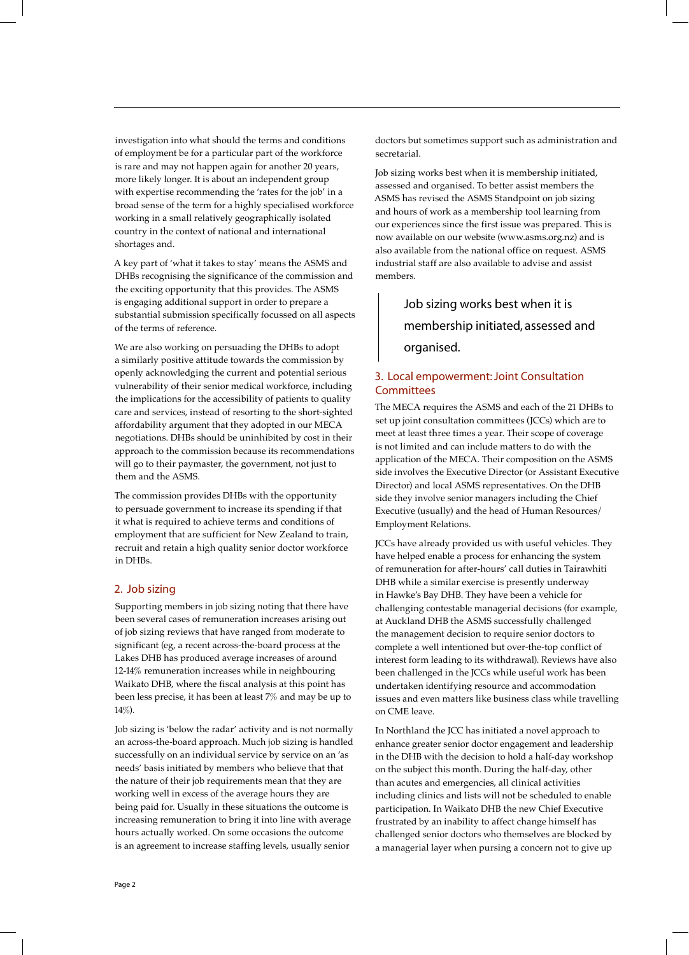investigation into what should the terms and conditions of employment be for a particular part of the workforce is rare and may not happen again for another 20 years, more likely longer. It is about an independent group with expertise recommending the 'rates for the job' in a broad sense of the term for a highly specialised workforce working in a small relatively geographically isolated country in the context of national and international shortages and.

A key part of 'what it takes to stay' means the ASMS and DHBs recognising the significance of the commission and the exciting opportunity that this provides. The ASMS is engaging additional support in order to prepare a substantial submission specifically focussed on all aspects of the terms of reference.

We are also working on persuading the DHBs to adopt a similarly positive attitude towards the commission by openly acknowledging the current and potential serious vulnerability of their senior medical workforce, including the implications for the accessibility of patients to quality care and services, instead of resorting to the short-sighted affordability argument that they adopted in our MECA negotiations. DHBs should be uninhibited by cost in their approach to the commission because its recommendations will go to their paymaster, the government, not just to them and the ASMS.

The commission provides DHBs with the opportunity to persuade government to increase its spending if that it what is required to achieve terms and conditions of employment that are sufficient for New Zealand to train, recruit and retain a high quality senior doctor workforce in DHBs.

### 2. Job sizing

Supporting members in job sizing noting that there have been several cases of remuneration increases arising out of job sizing reviews that have ranged from moderate to significant (eg, a recent across-the-board process at the Lakes DHB has produced average increases of around 12-14% remuneration increases while in neighbouring Waikato DHB, where the fiscal analysis at this point has been less precise, it has been at least 7% and may be up to 14%).

Job sizing is 'below the radar' activity and is not normally an across-the-board approach. Much job sizing is handled successfully on an individual service by service on an 'as needs' basis initiated by members who believe that that the nature of their job requirements mean that they are working well in excess of the average hours they are being paid for. Usually in these situations the outcome is increasing remuneration to bring it into line with average hours actually worked. On some occasions the outcome is an agreement to increase staffing levels, usually senior

doctors but sometimes support such as administration and secretarial.

Job sizing works best when it is membership initiated, assessed and organised. To better assist members the ASMS has revised the ASMS Standpoint on job sizing and hours of work as a membership tool learning from our experiences since the first issue was prepared. This is now available on our website (www.asms.org.nz) and is also available from the national office on request. ASMS industrial staff are also available to advise and assist members.

> Job sizing works best when it is membership initiated, assessed and organised.

### 3. Local empowerment: Joint Consultation **Committees**

The MECA requires the ASMS and each of the 21 DHBs to set up joint consultation committees (JCCs) which are to meet at least three times a year. Their scope of coverage is not limited and can include matters to do with the application of the MECA. Their composition on the ASMS side involves the Executive Director (or Assistant Executive Director) and local ASMS representatives. On the DHB side they involve senior managers including the Chief Executive (usually) and the head of Human Resources/ Employment Relations.

JCCs have already provided us with useful vehicles. They have helped enable a process for enhancing the system of remuneration for after-hours' call duties in Tairawhiti DHB while a similar exercise is presently underway in Hawke's Bay DHB. They have been a vehicle for challenging contestable managerial decisions (for example, at Auckland DHB the ASMS successfully challenged the management decision to require senior doctors to complete a well intentioned but over-the-top conflict of interest form leading to its withdrawal). Reviews have also been challenged in the JCCs while useful work has been undertaken identifying resource and accommodation issues and even matters like business class while travelling on CME leave.

In Northland the JCC has initiated a novel approach to enhance greater senior doctor engagement and leadership in the DHB with the decision to hold a half-day workshop on the subject this month. During the half-day, other than acutes and emergencies, all clinical activities including clinics and lists will not be scheduled to enable participation. In Waikato DHB the new Chief Executive frustrated by an inability to affect change himself has challenged senior doctors who themselves are blocked by a managerial layer when pursing a concern not to give up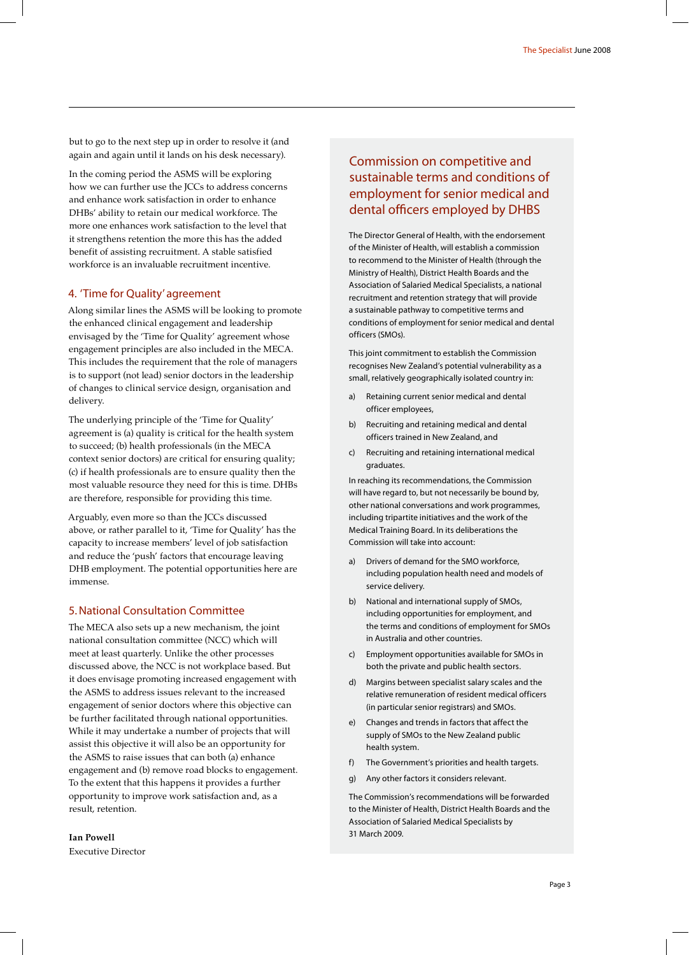but to go to the next step up in order to resolve it (and again and again until it lands on his desk necessary).

In the coming period the ASMS will be exploring how we can further use the JCCs to address concerns and enhance work satisfaction in order to enhance DHBs' ability to retain our medical workforce. The more one enhances work satisfaction to the level that it strengthens retention the more this has the added benefit of assisting recruitment. A stable satisfied workforce is an invaluable recruitment incentive.

### 4. 'Time for Quality' agreement

Along similar lines the ASMS will be looking to promote the enhanced clinical engagement and leadership envisaged by the 'Time for Quality' agreement whose engagement principles are also included in the MECA. This includes the requirement that the role of managers is to support (not lead) senior doctors in the leadership of changes to clinical service design, organisation and delivery.

The underlying principle of the 'Time for Quality' agreement is (a) quality is critical for the health system to succeed; (b) health professionals (in the MECA context senior doctors) are critical for ensuring quality; (c) if health professionals are to ensure quality then the most valuable resource they need for this is time. DHBs are therefore, responsible for providing this time.

Arguably, even more so than the JCCs discussed above, or rather parallel to it, 'Time for Quality' has the capacity to increase members' level of job satisfaction and reduce the 'push' factors that encourage leaving DHB employment. The potential opportunities here are immense.

### 5. National Consultation Committee

The MECA also sets up a new mechanism, the joint national consultation committee (NCC) which will meet at least quarterly. Unlike the other processes discussed above, the NCC is not workplace based. But it does envisage promoting increased engagement with the ASMS to address issues relevant to the increased engagement of senior doctors where this objective can be further facilitated through national opportunities. While it may undertake a number of projects that will assist this objective it will also be an opportunity for the ASMS to raise issues that can both (a) enhance engagement and (b) remove road blocks to engagement. To the extent that this happens it provides a further opportunity to improve work satisfaction and, as a result, retention.

**Ian Powell** Executive Director

### Commission on competitive and sustainable terms and conditions of employment for senior medical and dental officers employed by DHBS

The Director General of Health, with the endorsement of the Minister of Health, will establish a commission to recommend to the Minister of Health (through the Ministry of Health), District Health Boards and the Association of Salaried Medical Specialists, a national recruitment and retention strategy that will provide a sustainable pathway to competitive terms and conditions of employment for senior medical and dental officers (SMOs).

This joint commitment to establish the Commission recognises New Zealand's potential vulnerability as a small, relatively geographically isolated country in:

- a) Retaining current senior medical and dental officer employees,
- b) Recruiting and retaining medical and dental officers trained in New Zealand, and
- c) Recruiting and retaining international medical graduates.

In reaching its recommendations, the Commission will have regard to, but not necessarily be bound by, other national conversations and work programmes, including tripartite initiatives and the work of the Medical Training Board. In its deliberations the Commission will take into account:

- a) Drivers of demand for the SMO workforce, including population health need and models of service delivery.
- b) National and international supply of SMOs, including opportunities for employment, and the terms and conditions of employment for SMOs in Australia and other countries.
- c) Employment opportunities available for SMOs in both the private and public health sectors.
- d) Margins between specialist salary scales and the relative remuneration of resident medical officers (in particular senior registrars) and SMOs.
- e) Changes and trends in factors that affect the supply of SMOs to the New Zealand public health system.
- f) The Government's priorities and health targets.
- g) Any other factors it considers relevant.

The Commission's recommendations will be forwarded to the Minister of Health, District Health Boards and the Association of Salaried Medical Specialists by 31 March 2009.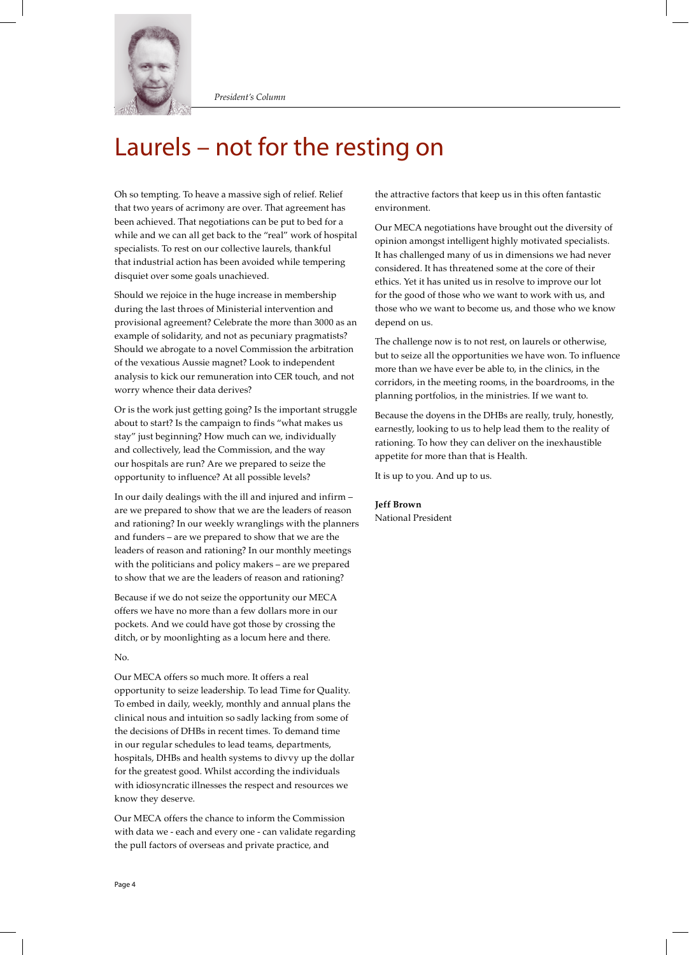

### Laurels – not for the resting on

Oh so tempting. To heave a massive sigh of relief. Relief that two years of acrimony are over. That agreement has been achieved. That negotiations can be put to bed for a while and we can all get back to the "real" work of hospital specialists. To rest on our collective laurels, thankful that industrial action has been avoided while tempering disquiet over some goals unachieved.

Should we rejoice in the huge increase in membership during the last throes of Ministerial intervention and provisional agreement? Celebrate the more than 3000 as an example of solidarity, and not as pecuniary pragmatists? Should we abrogate to a novel Commission the arbitration of the vexatious Aussie magnet? Look to independent analysis to kick our remuneration into CER touch, and not worry whence their data derives?

Or is the work just getting going? Is the important struggle about to start? Is the campaign to finds "what makes us stay" just beginning? How much can we, individually and collectively, lead the Commission, and the way our hospitals are run? Are we prepared to seize the opportunity to influence? At all possible levels?

In our daily dealings with the ill and injured and infirm – are we prepared to show that we are the leaders of reason and rationing? In our weekly wranglings with the planners and funders – are we prepared to show that we are the leaders of reason and rationing? In our monthly meetings with the politicians and policy makers – are we prepared to show that we are the leaders of reason and rationing?

Because if we do not seize the opportunity our MECA offers we have no more than a few dollars more in our pockets. And we could have got those by crossing the ditch, or by moonlighting as a locum here and there.

#### No.

Our MECA offers so much more. It offers a real opportunity to seize leadership. To lead Time for Quality. To embed in daily, weekly, monthly and annual plans the clinical nous and intuition so sadly lacking from some of the decisions of DHBs in recent times. To demand time in our regular schedules to lead teams, departments, hospitals, DHBs and health systems to divvy up the dollar for the greatest good. Whilst according the individuals with idiosyncratic illnesses the respect and resources we know they deserve.

Our MECA offers the chance to inform the Commission with data we - each and every one - can validate regarding the pull factors of overseas and private practice, and

the attractive factors that keep us in this often fantastic environment.

Our MECA negotiations have brought out the diversity of opinion amongst intelligent highly motivated specialists. It has challenged many of us in dimensions we had never considered. It has threatened some at the core of their ethics. Yet it has united us in resolve to improve our lot for the good of those who we want to work with us, and those who we want to become us, and those who we know depend on us.

The challenge now is to not rest, on laurels or otherwise, but to seize all the opportunities we have won. To influence more than we have ever be able to, in the clinics, in the corridors, in the meeting rooms, in the boardrooms, in the planning portfolios, in the ministries. If we want to.

Because the doyens in the DHBs are really, truly, honestly, earnestly, looking to us to help lead them to the reality of rationing. To how they can deliver on the inexhaustible appetite for more than that is Health.

It is up to you. And up to us.

**Jeff Brown** National President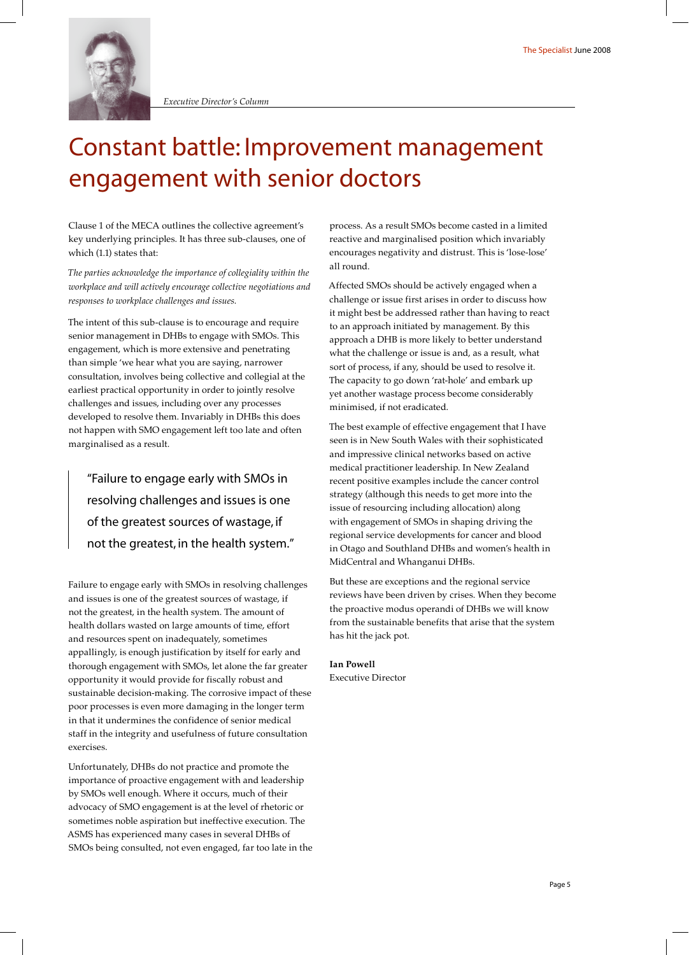

*Executive Director's Column*

### Constant battle: Improvement management engagement with senior doctors

Clause 1 of the MECA outlines the collective agreement's key underlying principles. It has three sub-clauses, one of which (1.1) states that:

*The parties acknowledge the importance of collegiality within the workplace and will actively encourage collective negotiations and responses to workplace challenges and issues.*

The intent of this sub-clause is to encourage and require senior management in DHBs to engage with SMOs. This engagement, which is more extensive and penetrating than simple 'we hear what you are saying, narrower consultation, involves being collective and collegial at the earliest practical opportunity in order to jointly resolve challenges and issues, including over any processes developed to resolve them. Invariably in DHBs this does not happen with SMO engagement left too late and often marginalised as a result.

"Failure to engage early with SMOs in resolving challenges and issues is one of the greatest sources of wastage, if not the greatest, in the health system."

Failure to engage early with SMOs in resolving challenges and issues is one of the greatest sources of wastage, if not the greatest, in the health system. The amount of health dollars wasted on large amounts of time, effort and resources spent on inadequately, sometimes appallingly, is enough justification by itself for early and thorough engagement with SMOs, let alone the far greater opportunity it would provide for fiscally robust and sustainable decision-making. The corrosive impact of these poor processes is even more damaging in the longer term in that it undermines the confidence of senior medical staff in the integrity and usefulness of future consultation exercises.

Unfortunately, DHBs do not practice and promote the importance of proactive engagement with and leadership by SMOs well enough. Where it occurs, much of their advocacy of SMO engagement is at the level of rhetoric or sometimes noble aspiration but ineffective execution. The ASMS has experienced many cases in several DHBs of SMOs being consulted, not even engaged, far too late in the process. As a result SMOs become casted in a limited reactive and marginalised position which invariably encourages negativity and distrust. This is 'lose-lose' all round.

Affected SMOs should be actively engaged when a challenge or issue first arises in order to discuss how it might best be addressed rather than having to react to an approach initiated by management. By this approach a DHB is more likely to better understand what the challenge or issue is and, as a result, what sort of process, if any, should be used to resolve it. The capacity to go down 'rat-hole' and embark up yet another wastage process become considerably minimised, if not eradicated.

The best example of effective engagement that I have seen is in New South Wales with their sophisticated and impressive clinical networks based on active medical practitioner leadership. In New Zealand recent positive examples include the cancer control strategy (although this needs to get more into the issue of resourcing including allocation) along with engagement of SMOs in shaping driving the regional service developments for cancer and blood in Otago and Southland DHBs and women's health in MidCentral and Whanganui DHBs.

But these are exceptions and the regional service reviews have been driven by crises. When they become the proactive modus operandi of DHBs we will know from the sustainable benefits that arise that the system has hit the jack pot.

**Ian Powell**

Executive Director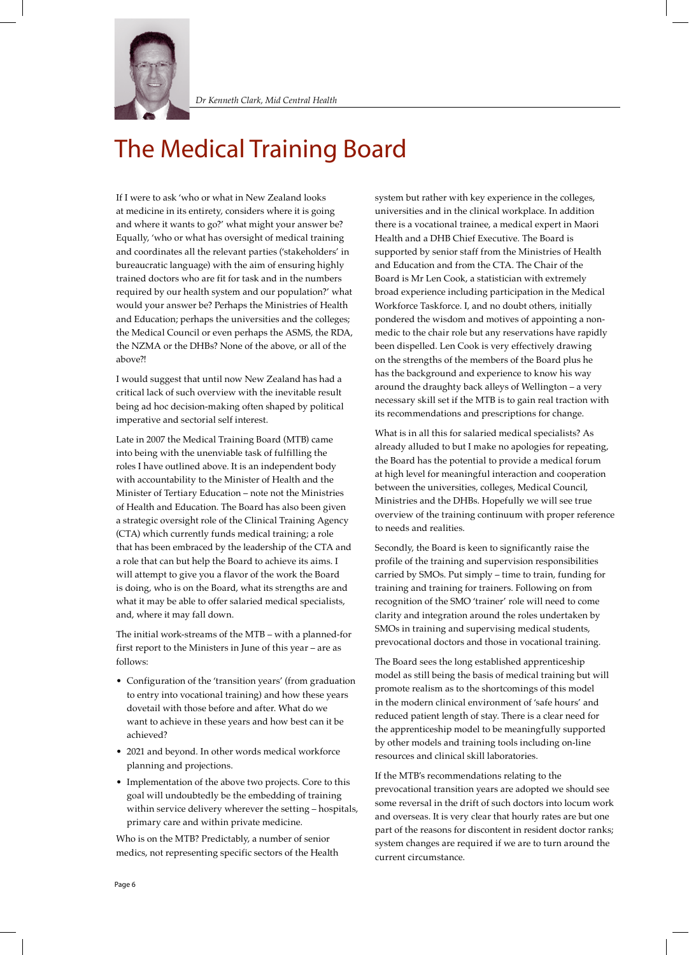

### The Medical Training Board

If I were to ask 'who or what in New Zealand looks at medicine in its entirety, considers where it is going and where it wants to go?' what might your answer be? Equally, 'who or what has oversight of medical training and coordinates all the relevant parties ('stakeholders' in bureaucratic language) with the aim of ensuring highly trained doctors who are fit for task and in the numbers required by our health system and our population?' what would your answer be? Perhaps the Ministries of Health and Education; perhaps the universities and the colleges; the Medical Council or even perhaps the ASMS, the RDA, the NZMA or the DHBs? None of the above, or all of the above?!

I would suggest that until now New Zealand has had a critical lack of such overview with the inevitable result being ad hoc decision-making often shaped by political imperative and sectorial self interest.

Late in 2007 the Medical Training Board (MTB) came into being with the unenviable task of fulfilling the roles I have outlined above. It is an independent body with accountability to the Minister of Health and the Minister of Tertiary Education – note not the Ministries of Health and Education. The Board has also been given a strategic oversight role of the Clinical Training Agency (CTA) which currently funds medical training; a role that has been embraced by the leadership of the CTA and a role that can but help the Board to achieve its aims. I will attempt to give you a flavor of the work the Board is doing, who is on the Board, what its strengths are and what it may be able to offer salaried medical specialists, and, where it may fall down.

The initial work-streams of the MTB – with a planned-for first report to the Ministers in June of this year – are as follows:

- Configuration of the 'transition years' (from graduation to entry into vocational training) and how these years dovetail with those before and after. What do we want to achieve in these years and how best can it be achieved?
- 2021 and beyond. In other words medical workforce planning and projections.
- Implementation of the above two projects. Core to this goal will undoubtedly be the embedding of training within service delivery wherever the setting – hospitals, primary care and within private medicine.

Who is on the MTB? Predictably, a number of senior medics, not representing specific sectors of the Health system but rather with key experience in the colleges, universities and in the clinical workplace. In addition there is a vocational trainee, a medical expert in Maori Health and a DHB Chief Executive. The Board is supported by senior staff from the Ministries of Health and Education and from the CTA. The Chair of the Board is Mr Len Cook, a statistician with extremely broad experience including participation in the Medical Workforce Taskforce. I, and no doubt others, initially pondered the wisdom and motives of appointing a nonmedic to the chair role but any reservations have rapidly been dispelled. Len Cook is very effectively drawing on the strengths of the members of the Board plus he has the background and experience to know his way around the draughty back alleys of Wellington – a very necessary skill set if the MTB is to gain real traction with its recommendations and prescriptions for change.

What is in all this for salaried medical specialists? As already alluded to but I make no apologies for repeating, the Board has the potential to provide a medical forum at high level for meaningful interaction and cooperation between the universities, colleges, Medical Council, Ministries and the DHBs. Hopefully we will see true overview of the training continuum with proper reference to needs and realities.

Secondly, the Board is keen to significantly raise the profile of the training and supervision responsibilities carried by SMOs. Put simply – time to train, funding for training and training for trainers. Following on from recognition of the SMO 'trainer' role will need to come clarity and integration around the roles undertaken by SMOs in training and supervising medical students, prevocational doctors and those in vocational training.

The Board sees the long established apprenticeship model as still being the basis of medical training but will promote realism as to the shortcomings of this model in the modern clinical environment of 'safe hours' and reduced patient length of stay. There is a clear need for the apprenticeship model to be meaningfully supported by other models and training tools including on-line resources and clinical skill laboratories.

If the MTB's recommendations relating to the prevocational transition years are adopted we should see some reversal in the drift of such doctors into locum work and overseas. It is very clear that hourly rates are but one part of the reasons for discontent in resident doctor ranks; system changes are required if we are to turn around the current circumstance.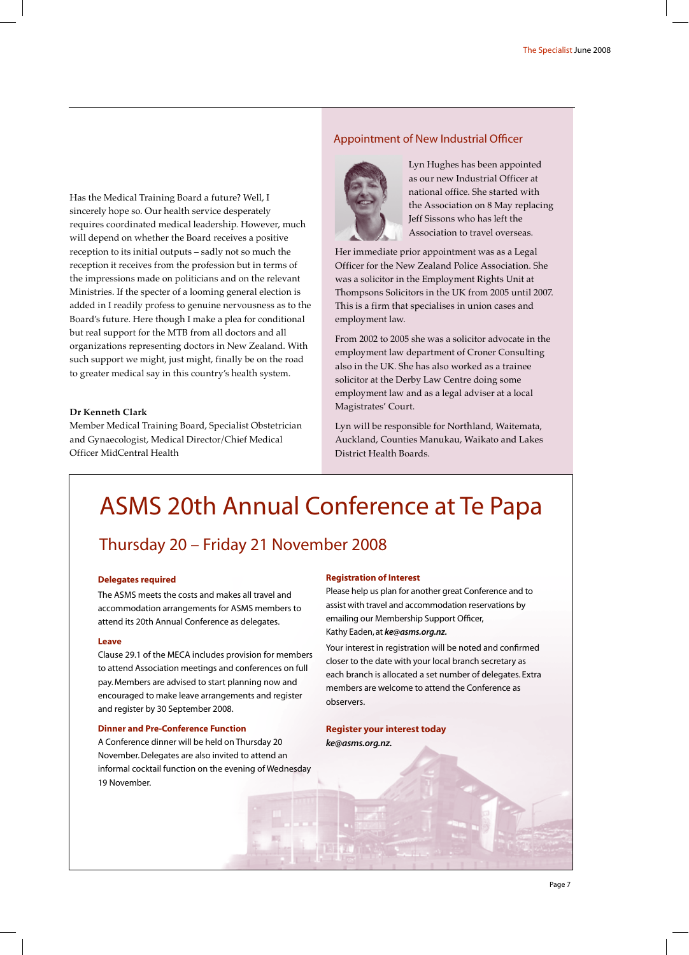Has the Medical Training Board a future? Well, I sincerely hope so. Our health service desperately requires coordinated medical leadership. However, much will depend on whether the Board receives a positive reception to its initial outputs – sadly not so much the reception it receives from the profession but in terms of the impressions made on politicians and on the relevant Ministries. If the specter of a looming general election is added in I readily profess to genuine nervousness as to the Board's future. Here though I make a plea for conditional but real support for the MTB from all doctors and all organizations representing doctors in New Zealand. With such support we might, just might, finally be on the road to greater medical say in this country's health system.

### **Dr Kenneth Clark**

Member Medical Training Board, Specialist Obstetrician and Gynaecologist, Medical Director/Chief Medical Officer MidCentral Health

### Appointment of New Industrial Officer



Lyn Hughes has been appointed as our new Industrial Officer at national office. She started with the Association on 8 May replacing Jeff Sissons who has left the Association to travel overseas.

Her immediate prior appointment was as a Legal Officer for the New Zealand Police Association. She was a solicitor in the Employment Rights Unit at Thompsons Solicitors in the UK from 2005 until 2007. This is a firm that specialises in union cases and employment law.

From 2002 to 2005 she was a solicitor advocate in the employment law department of Croner Consulting also in the UK. She has also worked as a trainee solicitor at the Derby Law Centre doing some employment law and as a legal adviser at a local Magistrates' Court.

Lyn will be responsible for Northland, Waitemata, Auckland, Counties Manukau, Waikato and Lakes District Health Boards.

### ASMS 20th Annual Conference at Te Papa

### Thursday 20 – Friday 21 November 2008

#### **Delegates required**

The ASMS meets the costs and makes all travel and accommodation arrangements for ASMS members to attend its 20th Annual Conference as delegates.

#### **Leave**

Clause 29.1 of the MECA includes provision for members to attend Association meetings and conferences on full pay. Members are advised to start planning now and encouraged to make leave arrangements and register and register by 30 September 2008.

#### **Dinner and Pre-Conference Function**

A Conference dinner will be held on Thursday 20 November. Delegates are also invited to attend an informal cocktail function on the evening of Wednesday 19 November.

#### **Registration of Interest**

Please help us plan for another great Conference and to assist with travel and accommodation reservations by emailing our Membership Support Officer, Kathy Eaden, at *ke@asms.org.nz.*

Your interest in registration will be noted and confirmed closer to the date with your local branch secretary as each branch is allocated a set number of delegates. Extra members are welcome to attend the Conference as observers.

### **Register your interest today** *ke@asms.org.nz.*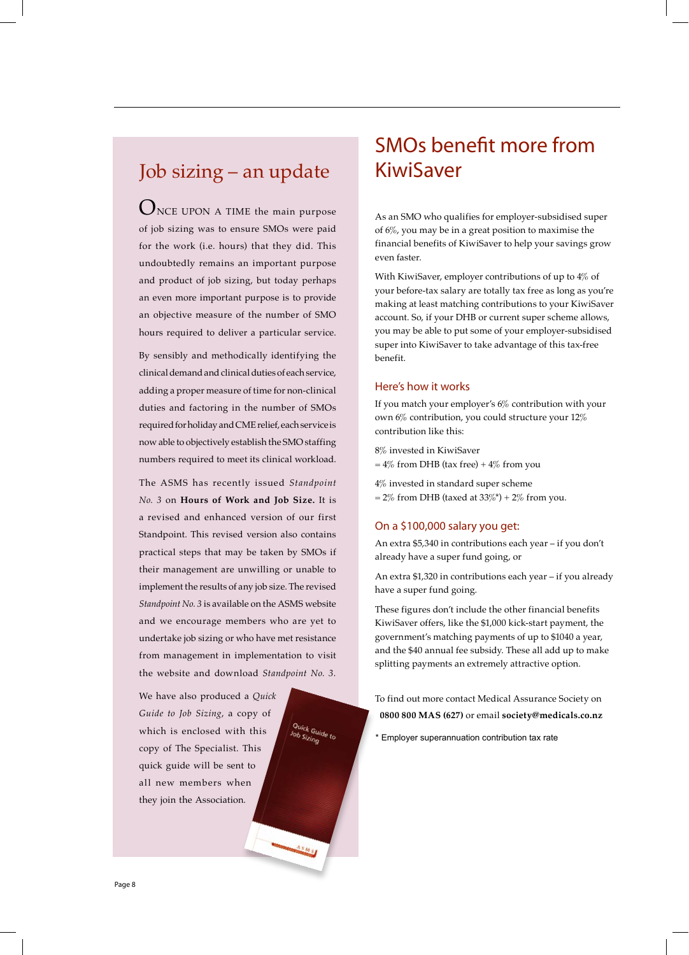### Job sizing – an update

 $\mathbf{O}_{\text{NCE}}$  UPON A TIME the main purpose of job sizing was to ensure SMOs were paid for the work (i.e. hours) that they did. This undoubtedly remains an important purpose and product of job sizing, but today perhaps an even more important purpose is to provide an objective measure of the number of SMO hours required to deliver a particular service.

By sensibly and methodically identifying the clinical demand and clinical duties of each service, adding a proper measure of time for non-clinical duties and factoring in the number of SMOs required for holiday and CME relief, each service is now able to objectively establish the SMO staffing numbers required to meet its clinical workload.

The ASMS has recently issued *Standpoint No. 3* on **Hours of Work and Job Size.** It is a revised and enhanced version of our first Standpoint. This revised version also contains practical steps that may be taken by SMOs if their management are unwilling or unable to implement the results of any job size. The revised *Standpoint No. 3* is available on the ASMS website and we encourage members who are yet to undertake job sizing or who have met resistance from management in implementation to visit the website and download *Standpoint No. 3.*

We have also produced a *Quick Guide to Job Sizing*, a copy of which is enclosed with this copy of The Specialist. This quick guide will be sent to all new members when they join the Association.

### SMOs benefit more from KiwiSaver

As an SMO who qualifies for employer-subsidised super of 6%, you may be in a great position to maximise the financial benefits of KiwiSaver to help your savings grow even faster.

With KiwiSaver, employer contributions of up to 4% of your before-tax salary are totally tax free as long as you're making at least matching contributions to your KiwiSaver account. So, if your DHB or current super scheme allows, you may be able to put some of your employer-subsidised super into KiwiSaver to take advantage of this tax-free benefit.

### Here's how it works

If you match your employer's 6% contribution with your own 6% contribution, you could structure your 12% contribution like this:

8% invested in KiwiSaver  $= 4\%$  from DHB (tax free) +  $4\%$  from you

4% invested in standard super scheme  $= 2\%$  from DHB (taxed at 33%\*) + 2% from you.

### On a \$100,000 salary you get:

An extra \$5,340 in contributions each year – if you don't already have a super fund going, or

An extra \$1,320 in contributions each year – if you already have a super fund going.

These figures don't include the other financial benefits KiwiSaver offers, like the \$1,000 kick-start payment, the government's matching payments of up to \$1040 a year, and the \$40 annual fee subsidy. These all add up to make splitting payments an extremely attractive option.

To find out more contact Medical Assurance Society on **0800 800 MAS (627)** or email **society@medicals.co.nz**

\* Employer superannuation contribution tax rate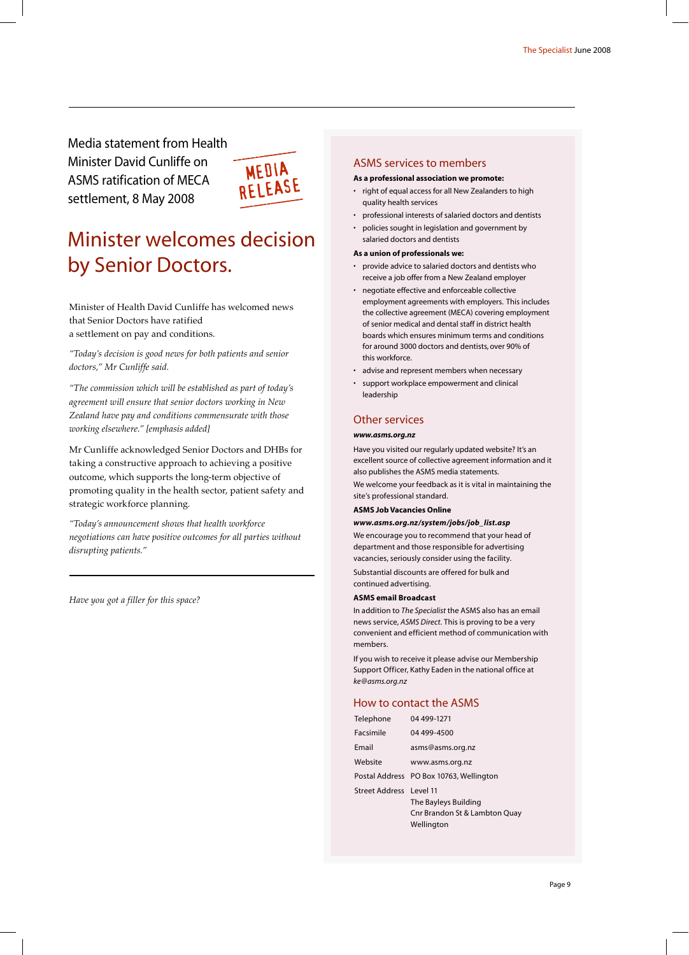Media statement from Health Minister David Cunliffe on ASMS ratification of MECA settlement, 8 May 2008



### Minister welcomes decision by Senior Doctors.

Minister of Health David Cunliffe has welcomed news that Senior Doctors have ratified a settlement on pay and conditions.

*"Today's decision is good news for both patients and senior doctors," Mr Cunliffe said.*

*"The commission which will be established as part of today's agreement will ensure that senior doctors working in New Zealand have pay and conditions commensurate with those working elsewhere." [emphasis added]*

Mr Cunliffe acknowledged Senior Doctors and DHBs for taking a constructive approach to achieving a positive outcome, which supports the long-term objective of promoting quality in the health sector, patient safety and strategic workforce planning.

*"Today's announcement shows that health workforce negotiations can have positive outcomes for all parties without disrupting patients."*

*Have you got a filler for this space?*

### ASMS services to members

### **As a professional association we promote:** right of equal access for all New Zealanders to high

- quality health services
- professional interests of salaried doctors and dentists
- policies sought in legislation and government by salaried doctors and dentists

#### **As a union of professionals we:**

- provide advice to salaried doctors and dentists who receive a job offer from a New Zealand employer
- negotiate effective and enforceable collective employment agreements with employers. This includes the collective agreement (MECA) covering employment of senior medical and dental staff in district health boards which ensures minimum terms and conditions for around 3000 doctors and dentists, over 90% of this workforce.
- advise and represent members when necessary
- support workplace empowerment and clinical leadership

### Other services

### *www.asms.org.nz*

Have you visited our regularly updated website? It's an excellent source of collective agreement information and it also publishes the ASMS media statements.

We welcome your feedback as it is vital in maintaining the site's professional standard.

### **ASMS Job Vacancies Online**

#### *www.asms.org.nz/system/jobs/job\_list.asp*

We encourage you to recommend that your head of department and those responsible for advertising vacancies, seriously consider using the facility.

Substantial discounts are offered for bulk and continued advertising.

### **ASMS email Broadcast**

In addition to *The Specialist* the ASMS also has an email news service, *ASMS Direct.* This is proving to be a very convenient and efficient method of communication with members.

If you wish to receive it please advise our Membership Support Officer, Kathy Eaden in the national office at *ke@asms.org.nz*

### How to contact the ASMS

| Telephone               | 04 499-1271                             |
|-------------------------|-----------------------------------------|
| Facsimile               | 04 499-4500                             |
| Fmail                   | asms@asms.org.nz                        |
| Website                 | www.asms.org.nz                         |
|                         | Postal Address PO Box 10763, Wellington |
| Street Address Level 11 |                                         |
|                         | The Bayleys Building                    |
|                         | Cnr Brandon St & Lambton Quay           |
|                         | Wellington                              |
|                         |                                         |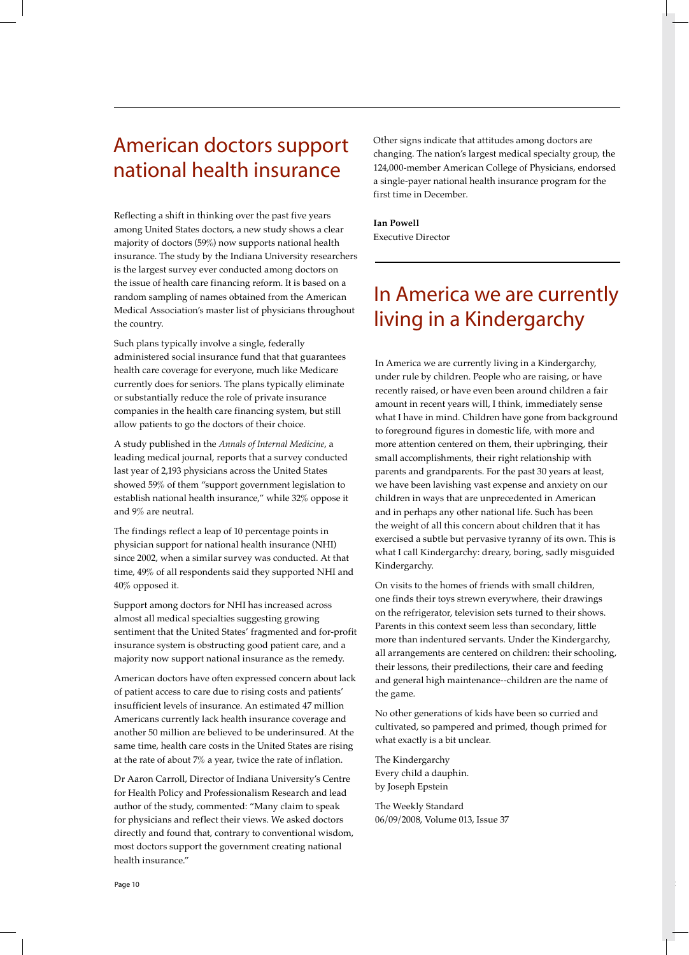### American doctors support national health insurance

Reflecting a shift in thinking over the past five years among United States doctors, a new study shows a clear majority of doctors (59%) now supports national health insurance. The study by the Indiana University researchers is the largest survey ever conducted among doctors on the issue of health care financing reform. It is based on a random sampling of names obtained from the American Medical Association's master list of physicians throughout the country.

Such plans typically involve a single, federally administered social insurance fund that that guarantees health care coverage for everyone, much like Medicare currently does for seniors. The plans typically eliminate or substantially reduce the role of private insurance companies in the health care financing system, but still allow patients to go the doctors of their choice.

A study published in the *Annals of Internal Medicine*, a leading medical journal, reports that a survey conducted last year of 2,193 physicians across the United States showed 59% of them "support government legislation to establish national health insurance," while 32% oppose it and 9% are neutral.

The findings reflect a leap of 10 percentage points in physician support for national health insurance (NHI) since 2002, when a similar survey was conducted. At that time, 49% of all respondents said they supported NHI and 40% opposed it.

Support among doctors for NHI has increased across almost all medical specialties suggesting growing sentiment that the United States' fragmented and for-profit insurance system is obstructing good patient care, and a majority now support national insurance as the remedy.

American doctors have often expressed concern about lack of patient access to care due to rising costs and patients' insufficient levels of insurance. An estimated 47 million Americans currently lack health insurance coverage and another 50 million are believed to be underinsured. At the same time, health care costs in the United States are rising at the rate of about 7% a year, twice the rate of inflation.

Dr Aaron Carroll, Director of Indiana University's Centre for Health Policy and Professionalism Research and lead author of the study, commented: "Many claim to speak for physicians and reflect their views. We asked doctors directly and found that, contrary to conventional wisdom, most doctors support the government creating national health insurance."

Other signs indicate that attitudes among doctors are changing. The nation's largest medical specialty group, the 124,000-member American College of Physicians, endorsed a single-payer national health insurance program for the first time in December.

**Ian Powell** Executive Director

### In America we are currently living in a Kindergarchy

In America we are currently living in a Kindergarchy, under rule by children. People who are raising, or have recently raised, or have even been around children a fair amount in recent years will, I think, immediately sense what I have in mind. Children have gone from background to foreground figures in domestic life, with more and more attention centered on them, their upbringing, their small accomplishments, their right relationship with parents and grandparents. For the past 30 years at least, we have been lavishing vast expense and anxiety on our children in ways that are unprecedented in American and in perhaps any other national life. Such has been the weight of all this concern about children that it has exercised a subtle but pervasive tyranny of its own. This is what I call Kindergarchy: dreary, boring, sadly misguided Kindergarchy.

On visits to the homes of friends with small children, one finds their toys strewn everywhere, their drawings on the refrigerator, television sets turned to their shows. Parents in this context seem less than secondary, little more than indentured servants. Under the Kindergarchy, all arrangements are centered on children: their schooling, their lessons, their predilections, their care and feeding and general high maintenance--children are the name of the game.

No other generations of kids have been so curried and cultivated, so pampered and primed, though primed for what exactly is a bit unclear.

The Kindergarchy Every child a dauphin. by Joseph Epstein

The Weekly Standard 06/09/2008, Volume 013, Issue 37

Page 10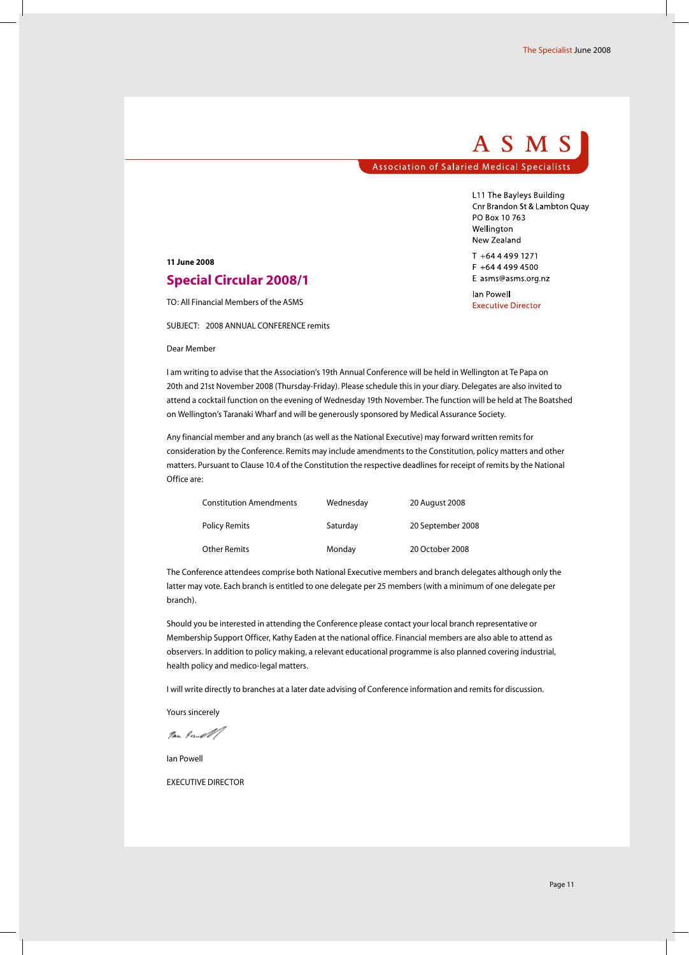### ASMS **Association of Salaried Medical Specialists**

L11 The Bayleys Building Cnr Brandon St & Lambton Quay PO Box 10 763 Wellington New Zealand

T +64 4 499 1271 F +64 4 499 4500 E asms@asms.org.nz lan Powell **Executive Director** 

#### **11 June 2008**

### **Special Circular 2008/1**

TO: All Financial Members of the ASMS

SUBJECT: 2008 ANNUAL CONFERENCE remits

#### Dear Member

I am writing to advise that the Association's 19th Annual Conference will be held in Wellington at Te Papa on 20th and 21st November 2008 (Thursday-Friday). Please schedule this in your diary. Delegates are also invited to attend a cocktail function on the evening of Wednesday 19th November. The function will be held at The Boatshed on Wellington's Taranaki Wharf and will be generously sponsored by Medical Assurance Society.

Any financial member and any branch (as well as the National Executive) may forward written remits for consideration by the Conference. Remits may include amendments to the Constitution, policy matters and other matters. Pursuant to Clause 10.4 of the Constitution the respective deadlines for receipt of remits by the National Office are:

| <b>Constitution Amendments</b> | Wednesday | 20 August 2008    |
|--------------------------------|-----------|-------------------|
| <b>Policy Remits</b>           | Saturday  | 20 September 2008 |
| Other Remits                   | Monday    | 20 October 2008   |

The Conference attendees comprise both National Executive members and branch delegates although only the latter may vote. Each branch is entitled to one delegate per 25 members (with a minimum of one delegate per branch).

Should you be interested in attending the Conference please contact your local branch representative or Membership Support Officer, Kathy Eaden at the national office. Financial members are also able to attend as observers. In addition to policy making, a relevant educational programme is also planned covering industrial, health policy and medico-legal matters.

I will write directly to branches at a later date advising of Conference information and remits for discussion.

Yours sincerely

Im Pombl

Ian Powell

EXECUTIVE DIRECTOR